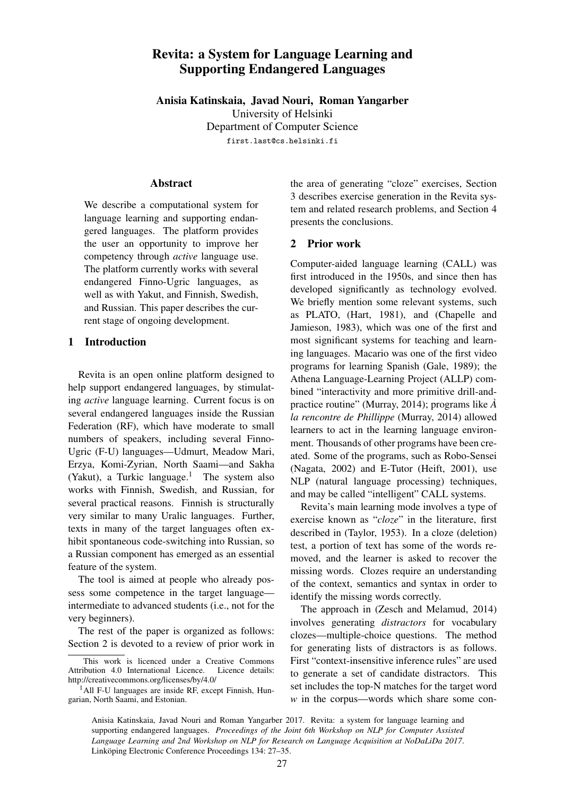# Revita: a System for Language Learning and Supporting Endangered Languages

Anisia Katinskaia, Javad Nouri, Roman Yangarber

University of Helsinki

Department of Computer Science

first.last@cs.helsinki.fi

#### Abstract

We describe a computational system for language learning and supporting endangered languages. The platform provides the user an opportunity to improve her competency through *active* language use. The platform currently works with several endangered Finno-Ugric languages, as well as with Yakut, and Finnish, Swedish, and Russian. This paper describes the current stage of ongoing development.

## 1 Introduction

Revita is an open online platform designed to help support endangered languages, by stimulating *active* language learning. Current focus is on several endangered languages inside the Russian Federation (RF), which have moderate to small numbers of speakers, including several Finno-Ugric (F-U) languages—Udmurt, Meadow Mari, Erzya, Komi-Zyrian, North Saami—and Sakha (Yakut), a Turkic language.<sup>1</sup> The system also works with Finnish, Swedish, and Russian, for several practical reasons. Finnish is structurally very similar to many Uralic languages. Further, texts in many of the target languages often exhibit spontaneous code-switching into Russian, so a Russian component has emerged as an essential feature of the system.

The tool is aimed at people who already possess some competence in the target language intermediate to advanced students (i.e., not for the very beginners).

The rest of the paper is organized as follows: Section 2 is devoted to a review of prior work in the area of generating "cloze" exercises, Section 3 describes exercise generation in the Revita system and related research problems, and Section 4 presents the conclusions.

## 2 Prior work

Computer-aided language learning (CALL) was first introduced in the 1950s, and since then has developed significantly as technology evolved. We briefly mention some relevant systems, such as PLATO, (Hart, 1981), and (Chapelle and Jamieson, 1983), which was one of the first and most significant systems for teaching and learning languages. Macario was one of the first video programs for learning Spanish (Gale, 1989); the Athena Language-Learning Project (ALLP) combined "interactivity and more primitive drill-andpractice routine" (Murray, 2014); programs like *A` la rencontre de Phillippe* (Murray, 2014) allowed learners to act in the learning language environment. Thousands of other programs have been created. Some of the programs, such as Robo-Sensei (Nagata, 2002) and E-Tutor (Heift, 2001), use NLP (natural language processing) techniques, and may be called "intelligent" CALL systems.

Revita's main learning mode involves a type of exercise known as "*cloze*" in the literature, first described in (Taylor, 1953). In a cloze (deletion) test, a portion of text has some of the words removed, and the learner is asked to recover the missing words. Clozes require an understanding of the context, semantics and syntax in order to identify the missing words correctly.

The approach in (Zesch and Melamud, 2014) involves generating *distractors* for vocabulary clozes—multiple-choice questions. The method for generating lists of distractors is as follows. First "context-insensitive inference rules" are used to generate a set of candidate distractors. This set includes the top-N matches for the target word *w* in the corpus—words which share some con-

Anisia Katinskaia, Javad Nouri and Roman Yangarber 2017. Revita: a system for language learning and supporting endangered languages. *Proceedings of the Joint 6th Workshop on NLP for Computer Assisted Language Learning and 2nd Workshop on NLP for Research on Language Acquisition at NoDaLiDa 2017*. Linköping Electronic Conference Proceedings 134: 27–35.

This work is licenced under a Creative Commons Attribution 4.0 International Licence. Licence details: http://creativecommons.org/licenses/by/4.0/

 $<sup>1</sup>$ All F-U languages are inside RF, except Finnish, Hun-</sup> garian, North Saami, and Estonian.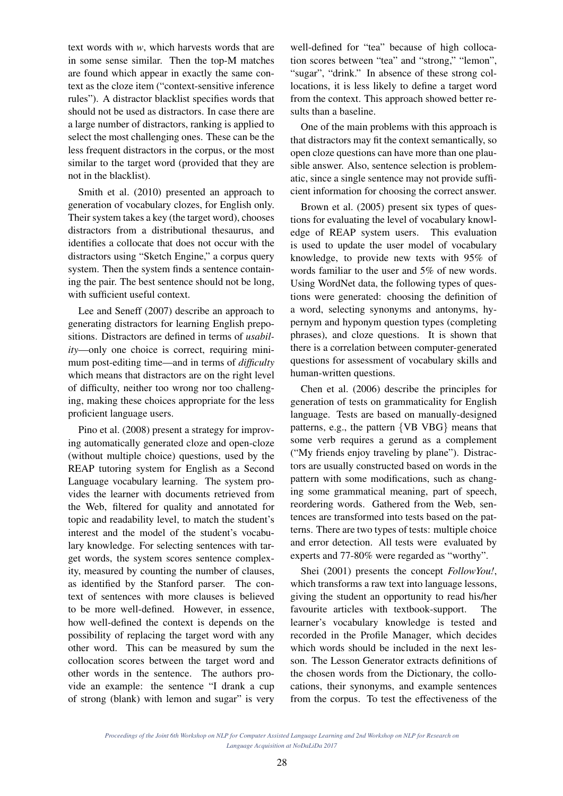text words with *w*, which harvests words that are in some sense similar. Then the top-M matches are found which appear in exactly the same context as the cloze item ("context-sensitive inference rules"). A distractor blacklist specifies words that should not be used as distractors. In case there are a large number of distractors, ranking is applied to select the most challenging ones. These can be the less frequent distractors in the corpus, or the most similar to the target word (provided that they are not in the blacklist).

Smith et al. (2010) presented an approach to generation of vocabulary clozes, for English only. Their system takes a key (the target word), chooses distractors from a distributional thesaurus, and identifies a collocate that does not occur with the distractors using "Sketch Engine," a corpus query system. Then the system finds a sentence containing the pair. The best sentence should not be long, with sufficient useful context.

Lee and Seneff (2007) describe an approach to generating distractors for learning English prepositions. Distractors are defined in terms of *usability*—only one choice is correct, requiring minimum post-editing time—and in terms of *difficulty* which means that distractors are on the right level of difficulty, neither too wrong nor too challenging, making these choices appropriate for the less proficient language users.

Pino et al. (2008) present a strategy for improving automatically generated cloze and open-cloze (without multiple choice) questions, used by the REAP tutoring system for English as a Second Language vocabulary learning. The system provides the learner with documents retrieved from the Web, filtered for quality and annotated for topic and readability level, to match the student's interest and the model of the student's vocabulary knowledge. For selecting sentences with target words, the system scores sentence complexity, measured by counting the number of clauses, as identified by the Stanford parser. The context of sentences with more clauses is believed to be more well-defined. However, in essence, how well-defined the context is depends on the possibility of replacing the target word with any other word. This can be measured by sum the collocation scores between the target word and other words in the sentence. The authors provide an example: the sentence "I drank a cup of strong (blank) with lemon and sugar" is very

well-defined for "tea" because of high collocation scores between "tea" and "strong," "lemon", "sugar", "drink." In absence of these strong collocations, it is less likely to define a target word from the context. This approach showed better results than a baseline.

One of the main problems with this approach is that distractors may fit the context semantically, so open cloze questions can have more than one plausible answer. Also, sentence selection is problematic, since a single sentence may not provide sufficient information for choosing the correct answer.

Brown et al. (2005) present six types of questions for evaluating the level of vocabulary knowledge of REAP system users. This evaluation is used to update the user model of vocabulary knowledge, to provide new texts with 95% of words familiar to the user and 5% of new words. Using WordNet data, the following types of questions were generated: choosing the definition of a word, selecting synonyms and antonyms, hypernym and hyponym question types (completing phrases), and cloze questions. It is shown that there is a correlation between computer-generated questions for assessment of vocabulary skills and human-written questions.

Chen et al. (2006) describe the principles for generation of tests on grammaticality for English language. Tests are based on manually-designed patterns, e.g., the pattern {VB VBG} means that some verb requires a gerund as a complement ("My friends enjoy traveling by plane"). Distractors are usually constructed based on words in the pattern with some modifications, such as changing some grammatical meaning, part of speech, reordering words. Gathered from the Web, sentences are transformed into tests based on the patterns. There are two types of tests: multiple choice and error detection. All tests were evaluated by experts and 77-80% were regarded as "worthy".

Shei (2001) presents the concept *FollowYou!*, which transforms a raw text into language lessons, giving the student an opportunity to read his/her favourite articles with textbook-support. The learner's vocabulary knowledge is tested and recorded in the Profile Manager, which decides which words should be included in the next lesson. The Lesson Generator extracts definitions of the chosen words from the Dictionary, the collocations, their synonyms, and example sentences from the corpus. To test the effectiveness of the

*Proceedings of the Joint 6th Workshop on NLP for Computer Assisted Language Learning and 2nd Workshop on NLP for Research on Language Acquisition at NoDaLiDa 2017*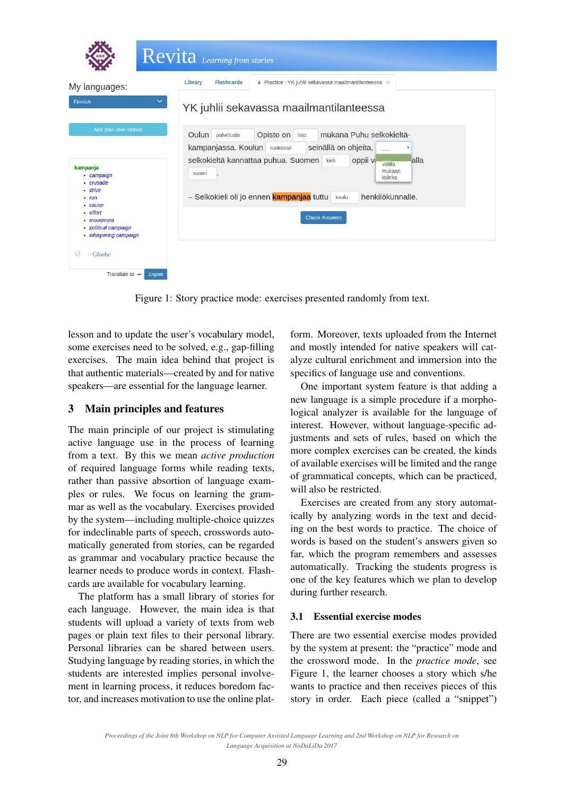

Figure 1: Story practice mode: exercises presented randomly from text.

lesson and to update the user's vocabulary model, some exercises need to be solved, e.g., gap-filling exercises. The main idea behind that project is that authentic materials—created by and for native speakers—are essential for the language learner.

# 3 Main principles and features

The main principle of our project is stimulating active language use in the process of learning from a text. By this we mean *active production* of required language forms while reading texts, rather than passive absortion of language examples or rules. We focus on learning the grammar as well as the vocabulary. Exercises provided by the system—including multiple-choice quizzes for indeclinable parts of speech, crosswords automatically generated from stories, can be regarded as grammar and vocabulary practice because the learner needs to produce words in context. Flashcards are available for vocabulary learning.

The platform has a small library of stories for each language. However, the main idea is that students will upload a variety of texts from web pages or plain text files to their personal library. Personal libraries can be shared between users. Studying language by reading stories, in which the students are interested implies personal involvement in learning process, it reduces boredom factor, and increases motivation to use the online plat-

form. Moreover, texts uploaded from the Internet and mostly intended for native speakers will catalyze cultural enrichment and immersion into the specifics of language use and conventions.

One important system feature is that adding a new language is a simple procedure if a morphological analyzer is available for the language of interest. However, without language-specific adjustments and sets of rules, based on which the more complex exercises can be created, the kinds of available exercises will be limited and the range of grammatical concepts, which can be practiced, will also be restricted.

Exercises are created from any story automatically by analyzing words in the text and deciding on the best words to practice. The choice of words is based on the student's answers given so far, which the program remembers and assesses automatically. Tracking the students progress is one of the key features which we plan to develop during further research.

## 3.1 Essential exercise modes

There are two essential exercise modes provided by the system at present: the "practice" mode and the crossword mode. In the *practice mode*, see Figure 1, the learner chooses a story which s/he wants to practice and then receives pieces of this story in order. Each piece (called a "snippet")

*Proceedings of the Joint 6th Workshop on NLP for Computer Assisted Language Learning and 2nd Workshop on NLP for Research on Language Acquisition at NoDaLiDa 2017*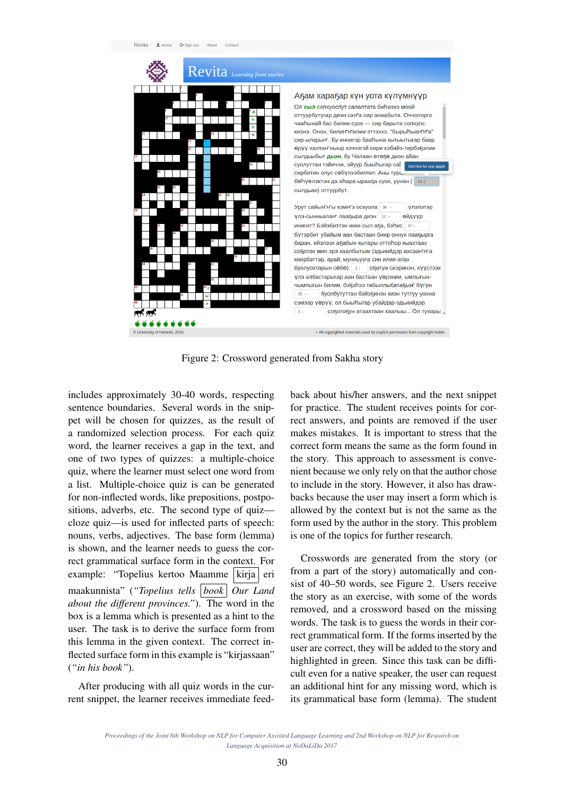

Figure 2: Crossword generated from Sakha story

includes approximately 30-40 words, respecting sentence boundaries. Several words in the snippet will be chosen for quizzes, as the result of a randomized selection process. For each quiz word, the learner receives a gap in the text, and one of two types of quizzes: a multiple-choice quiz, where the learner must select one word from a list. Multiple-choice quiz is can be generated for non-inflected words, like prepositions, postpositions, adverbs, etc. The second type of quiz cloze quiz—is used for inflected parts of speech: nouns, verbs, adjectives. The base form (lemma) is shown, and the learner needs to guess the correct grammatical surface form in the context. For example: "Topelius kertoo Maamme | kirja | eri maakunnista" (*"Topelius tells book Our Land about the different provinces."*). The word in the box is a lemma which is presented as a hint to the user. The task is to derive the surface form from this lemma in the given context. The correct inflected surface form in this example is "kirjassaan" (*"in his book"*).

After producing with all quiz words in the current snippet, the learner receives immediate feedback about his/her answers, and the next snippet for practice. The student receives points for correct answers, and points are removed if the user makes mistakes. It is important to stress that the correct form means the same as the form found in the story. This approach to assessment is convenient because we only rely on that the author chose to include in the story. However, it also has drawbacks because the user may insert a form which is allowed by the context but is not the same as the form used by the author in the story. This problem is one of the topics for further research.

Crosswords are generated from the story (or from a part of the story) automatically and consist of 40–50 words, see Figure 2. Users receive the story as an exercise, with some of the words removed, and a crossword based on the missing words. The task is to guess the words in their correct grammatical form. If the forms inserted by the user are correct, they will be added to the story and highlighted in green. Since this task can be difficult even for a native speaker, the user can request an additional hint for any missing word, which is its grammatical base form (lemma). The student

*Proceedings of the Joint 6th Workshop on NLP for Computer Assisted Language Learning and 2nd Workshop on NLP for Research on Language Acquisition at NoDaLiDa 2017*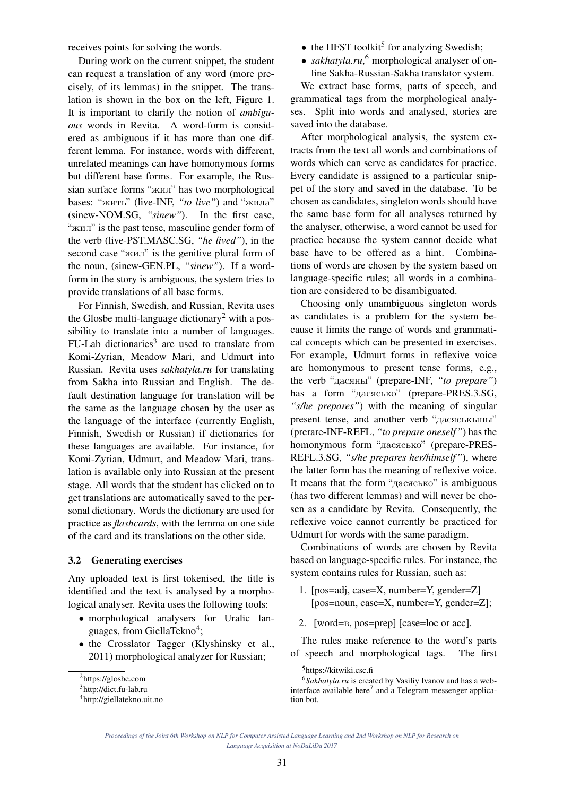receives points for solving the words.

During work on the current snippet, the student can request a translation of any word (more precisely, of its lemmas) in the snippet. The translation is shown in the box on the left, Figure 1. It is important to clarify the notion of *ambiguous* words in Revita. A word-form is considered as ambiguous if it has more than one different lemma. For instance, words with different, unrelated meanings can have homonymous forms but different base forms. For example, the Russian surface forms "жил" has two morphological bases: "жить" (live-INF, *"to live"*) and "жила" (sinew-NOM.SG, *"sinew"*). In the first case, "жил" is the past tense, masculine gender form of the verb (live-PST.MASC.SG, *"he lived"*), in the second case "жил" is the genitive plural form of the noun, (sinew-GEN.PL, *"sinew"*). If a wordform in the story is ambiguous, the system tries to provide translations of all base forms.

For Finnish, Swedish, and Russian, Revita uses the Glosbe multi-language dictionary<sup>2</sup> with a possibility to translate into a number of languages.  $FU-Lab$  dictionaries<sup>3</sup> are used to translate from Komi-Zyrian, Meadow Mari, and Udmurt into Russian. Revita uses *sakhatyla.ru* for translating from Sakha into Russian and English. The default destination language for translation will be the same as the language chosen by the user as the language of the interface (currently English, Finnish, Swedish or Russian) if dictionaries for these languages are available. For instance, for Komi-Zyrian, Udmurt, and Meadow Mari, translation is available only into Russian at the present stage. All words that the student has clicked on to get translations are automatically saved to the personal dictionary. Words the dictionary are used for practice as *flashcards*, with the lemma on one side of the card and its translations on the other side.

## 3.2 Generating exercises

Any uploaded text is first tokenised, the title is identified and the text is analysed by a morphological analyser. Revita uses the following tools:

- morphological analysers for Uralic languages, from GiellaTekno<sup>4</sup>;
- the Crosslator Tagger (Klyshinsky et al., 2011) morphological analyzer for Russian;
- $\bullet$  the HFST toolkit<sup>5</sup> for analyzing Swedish;
- *sakhatyla.ru*,<sup>6</sup> morphological analyser of online Sakha-Russian-Sakha translator system.

We extract base forms, parts of speech, and grammatical tags from the morphological analyses. Split into words and analysed, stories are saved into the database.

After morphological analysis, the system extracts from the text all words and combinations of words which can serve as candidates for practice. Every candidate is assigned to a particular snippet of the story and saved in the database. To be chosen as candidates, singleton words should have the same base form for all analyses returned by the analyser, otherwise, a word cannot be used for practice because the system cannot decide what base have to be offered as a hint. Combinations of words are chosen by the system based on language-specific rules; all words in a combination are considered to be disambiguated.

Choosing only unambiguous singleton words as candidates is a problem for the system because it limits the range of words and grammatical concepts which can be presented in exercises. For example, Udmurt forms in reflexive voice are homonymous to present tense forms, e.g., the verb "дасяны" (prepare-INF, *"to prepare"*) has a form "дасясько" (prepare-PRES.3.SG, *"s/he prepares"*) with the meaning of singular present tense, and another verb "дасяськыны" (prerare-INF-REFL, *"to prepare oneself"*) has the homonymous form "дасясько" (prepare-PRES-REFL.3.SG, *"s/he prepares her/himself"*), where the latter form has the meaning of reflexive voice. It means that the form "дасясько" is ambiguous (has two different lemmas) and will never be chosen as a candidate by Revita. Consequently, the reflexive voice cannot currently be practiced for Udmurt for words with the same paradigm.

Combinations of words are chosen by Revita based on language-specific rules. For instance, the system contains rules for Russian, such as:

- 1. [pos=adj, case=X, number=Y, gender=Z] [pos=noun, case=X, number=Y, gender=Z];
- 2. [word=в, pos=prep] [case=loc or acc].

The rules make reference to the word's parts of speech and morphological tags. The first

<sup>2</sup>https://glosbe.com

<sup>3</sup>http://dict.fu-lab.ru

<sup>4</sup>http://giellatekno.uit.no

<sup>5</sup>https://kitwiki.csc.fi

<sup>6</sup>*Sakhatyla.ru* is created by Vasiliy Ivanov and has a webinterface available here<sup>7</sup> and a Telegram messenger application bot.

*Proceedings of the Joint 6th Workshop on NLP for Computer Assisted Language Learning and 2nd Workshop on NLP for Research on Language Acquisition at NoDaLiDa 2017*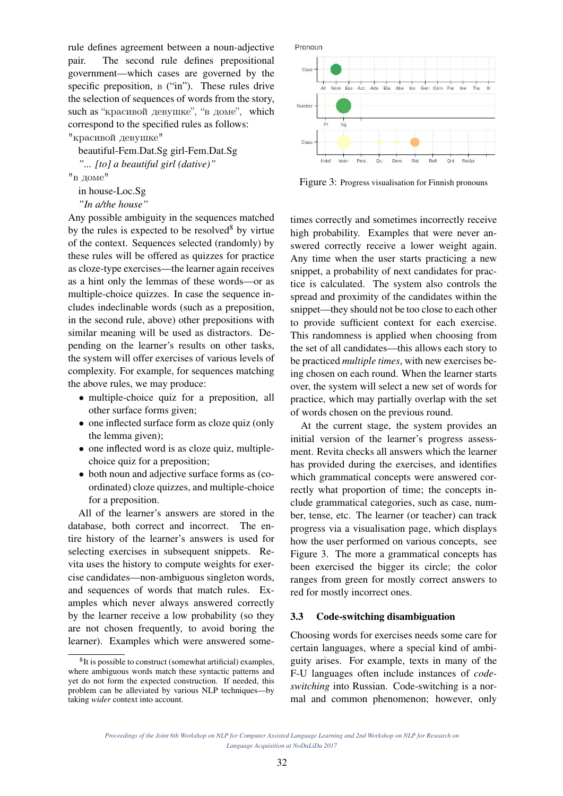rule defines agreement between a noun-adjective pair. The second rule defines prepositional government—which cases are governed by the specific preposition, в ("in"). These rules drive the selection of sequences of words from the story, such as "красивой девушке", "в доме", which correspond to the specified rules as follows:

"красивой девушке"

beautiful-Fem.Dat.Sg girl-Fem.Dat.Sg *"... [to] a beautiful girl (dative)"*

"в доме"

in house-Loc.Sg

```
"In a/the house"
```
Any possible ambiguity in the sequences matched by the rules is expected to be resolved $8$  by virtue of the context. Sequences selected (randomly) by these rules will be offered as quizzes for practice as cloze-type exercises—the learner again receives as a hint only the lemmas of these words—or as multiple-choice quizzes. In case the sequence includes indeclinable words (such as a preposition, in the second rule, above) other prepositions with similar meaning will be used as distractors. Depending on the learner's results on other tasks, the system will offer exercises of various levels of complexity. For example, for sequences matching the above rules, we may produce:

- multiple-choice quiz for a preposition, all other surface forms given;
- one inflected surface form as cloze quiz (only the lemma given);
- one inflected word is as cloze quiz, multiplechoice quiz for a preposition;
- both noun and adjective surface forms as (coordinated) cloze quizzes, and multiple-choice for a preposition.

All of the learner's answers are stored in the database, both correct and incorrect. The entire history of the learner's answers is used for selecting exercises in subsequent snippets. Revita uses the history to compute weights for exercise candidates—non-ambiguous singleton words, and sequences of words that match rules. Examples which never always answered correctly by the learner receive a low probability (so they are not chosen frequently, to avoid boring the learner). Examples which were answered some-



Figure 3: Progress visualisation for Finnish pronouns

times correctly and sometimes incorrectly receive high probability. Examples that were never answered correctly receive a lower weight again. Any time when the user starts practicing a new snippet, a probability of next candidates for practice is calculated. The system also controls the spread and proximity of the candidates within the snippet—they should not be too close to each other to provide sufficient context for each exercise. This randomness is applied when choosing from the set of all candidates—this allows each story to be practiced *multiple times*, with new exercises being chosen on each round. When the learner starts over, the system will select a new set of words for practice, which may partially overlap with the set of words chosen on the previous round.

At the current stage, the system provides an initial version of the learner's progress assessment. Revita checks all answers which the learner has provided during the exercises, and identifies which grammatical concepts were answered correctly what proportion of time; the concepts include grammatical categories, such as case, number, tense, etc. The learner (or teacher) can track progress via a visualisation page, which displays how the user performed on various concepts, see Figure 3. The more a grammatical concepts has been exercised the bigger its circle; the color ranges from green for mostly correct answers to red for mostly incorrect ones.

#### 3.3 Code-switching disambiguation

Choosing words for exercises needs some care for certain languages, where a special kind of ambiguity arises. For example, texts in many of the F-U languages often include instances of *codeswitching* into Russian. Code-switching is a normal and common phenomenon; however, only

<sup>&</sup>lt;sup>8</sup>It is possible to construct (somewhat artificial) examples, where ambiguous words match these syntactic patterns and yet do not form the expected construction. If needed, this problem can be alleviated by various NLP techniques—by taking *wider* context into account.

*Proceedings of the Joint 6th Workshop on NLP for Computer Assisted Language Learning and 2nd Workshop on NLP for Research on Language Acquisition at NoDaLiDa 2017*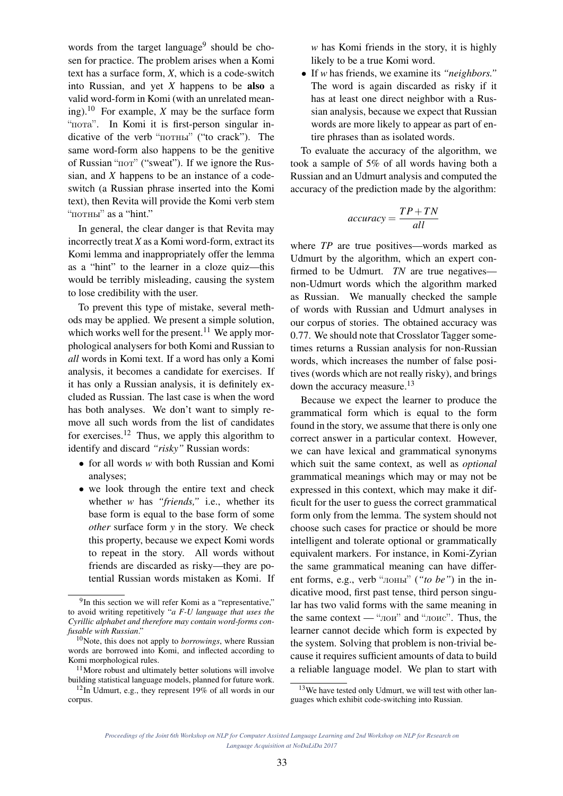words from the target language<sup>9</sup> should be chosen for practice. The problem arises when a Komi text has a surface form, *X*, which is a code-switch into Russian, and yet *X* happens to be also a valid word-form in Komi (with an unrelated meaning).<sup>10</sup> For example, *X* may be the surface form "пота". In Komi it is first-person singular indicative of the verb "потны" ("to crack"). The same word-form also happens to be the genitive of Russian "пот" ("sweat"). If we ignore the Russian, and *X* happens to be an instance of a codeswitch (a Russian phrase inserted into the Komi text), then Revita will provide the Komi verb stem "потны" as a "hint."

In general, the clear danger is that Revita may incorrectly treat *X* as a Komi word-form, extract its Komi lemma and inappropriately offer the lemma as a "hint" to the learner in a cloze quiz—this would be terribly misleading, causing the system to lose credibility with the user.

To prevent this type of mistake, several methods may be applied. We present a simple solution, which works well for the present.<sup>11</sup> We apply morphological analysers for both Komi and Russian to *all* words in Komi text. If a word has only a Komi analysis, it becomes a candidate for exercises. If it has only a Russian analysis, it is definitely excluded as Russian. The last case is when the word has both analyses. We don't want to simply remove all such words from the list of candidates for exercises.<sup>12</sup> Thus, we apply this algorithm to identify and discard *"risky"* Russian words:

- for all words *w* with both Russian and Komi analyses;
- we look through the entire text and check whether *w* has *"friends,"* i.e., whether its base form is equal to the base form of some *other* surface form *y* in the story. We check this property, because we expect Komi words to repeat in the story. All words without friends are discarded as risky—they are potential Russian words mistaken as Komi. If

*w* has Komi friends in the story, it is highly likely to be a true Komi word.

• If *w* has friends, we examine its *"neighbors."* The word is again discarded as risky if it has at least one direct neighbor with a Russian analysis, because we expect that Russian words are more likely to appear as part of entire phrases than as isolated words.

To evaluate the accuracy of the algorithm, we took a sample of 5% of all words having both a Russian and an Udmurt analysis and computed the accuracy of the prediction made by the algorithm:

$$
accuracy = \frac{TP + TN}{all}
$$

where *TP* are true positives—words marked as Udmurt by the algorithm, which an expert confirmed to be Udmurt. *TN* are true negatives non-Udmurt words which the algorithm marked as Russian. We manually checked the sample of words with Russian and Udmurt analyses in our corpus of stories. The obtained accuracy was 0.77. We should note that Crosslator Tagger sometimes returns a Russian analysis for non-Russian words, which increases the number of false positives (words which are not really risky), and brings down the accuracy measure.<sup>13</sup>

Because we expect the learner to produce the grammatical form which is equal to the form found in the story, we assume that there is only one correct answer in a particular context. However, we can have lexical and grammatical synonyms which suit the same context, as well as *optional* grammatical meanings which may or may not be expressed in this context, which may make it difficult for the user to guess the correct grammatical form only from the lemma. The system should not choose such cases for practice or should be more intelligent and tolerate optional or grammatically equivalent markers. For instance, in Komi-Zyrian the same grammatical meaning can have different forms, e.g., verb "лоны" (*"to be"*) in the indicative mood, first past tense, third person singular has two valid forms with the same meaning in the same context — "лои" and "лоис". Thus, the learner cannot decide which form is expected by the system. Solving that problem is non-trivial because it requires sufficient amounts of data to build a reliable language model. We plan to start with

<sup>&</sup>lt;sup>9</sup>In this section we will refer Komi as a "representative," to avoid writing repetitively "*a F-U language that uses the Cyrillic alphabet and therefore may contain word-forms confusable with Russian*."

<sup>10</sup>Note, this does not apply to *borrowings*, where Russian words are borrowed into Komi, and inflected according to Komi morphological rules.

<sup>&</sup>lt;sup>11</sup>More robust and ultimately better solutions will involve building statistical language models, planned for future work.

 $12$ In Udmurt, e.g., they represent 19% of all words in our corpus.

 $13$ We have tested only Udmurt, we will test with other languages which exhibit code-switching into Russian.

*Proceedings of the Joint 6th Workshop on NLP for Computer Assisted Language Learning and 2nd Workshop on NLP for Research on Language Acquisition at NoDaLiDa 2017*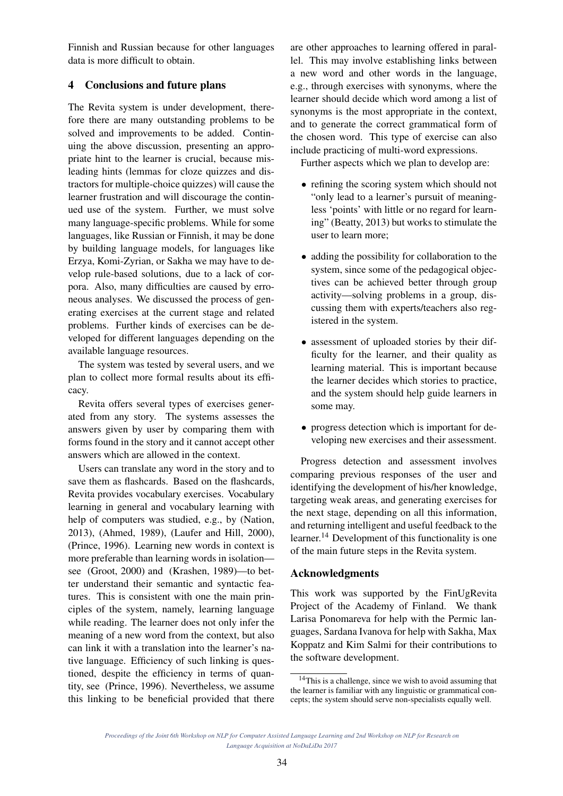Finnish and Russian because for other languages data is more difficult to obtain.

## 4 Conclusions and future plans

The Revita system is under development, therefore there are many outstanding problems to be solved and improvements to be added. Continuing the above discussion, presenting an appropriate hint to the learner is crucial, because misleading hints (lemmas for cloze quizzes and distractors for multiple-choice quizzes) will cause the learner frustration and will discourage the continued use of the system. Further, we must solve many language-specific problems. While for some languages, like Russian or Finnish, it may be done by building language models, for languages like Erzya, Komi-Zyrian, or Sakha we may have to develop rule-based solutions, due to a lack of corpora. Also, many difficulties are caused by erroneous analyses. We discussed the process of generating exercises at the current stage and related problems. Further kinds of exercises can be developed for different languages depending on the available language resources.

The system was tested by several users, and we plan to collect more formal results about its efficacy.

Revita offers several types of exercises generated from any story. The systems assesses the answers given by user by comparing them with forms found in the story and it cannot accept other answers which are allowed in the context.

Users can translate any word in the story and to save them as flashcards. Based on the flashcards, Revita provides vocabulary exercises. Vocabulary learning in general and vocabulary learning with help of computers was studied, e.g., by (Nation, 2013), (Ahmed, 1989), (Laufer and Hill, 2000), (Prince, 1996). Learning new words in context is more preferable than learning words in isolation see (Groot, 2000) and (Krashen, 1989)—to better understand their semantic and syntactic features. This is consistent with one the main principles of the system, namely, learning language while reading. The learner does not only infer the meaning of a new word from the context, but also can link it with a translation into the learner's native language. Efficiency of such linking is questioned, despite the efficiency in terms of quantity, see (Prince, 1996). Nevertheless, we assume this linking to be beneficial provided that there are other approaches to learning offered in parallel. This may involve establishing links between a new word and other words in the language, e.g., through exercises with synonyms, where the learner should decide which word among a list of synonyms is the most appropriate in the context, and to generate the correct grammatical form of the chosen word. This type of exercise can also include practicing of multi-word expressions.

Further aspects which we plan to develop are:

- refining the scoring system which should not "only lead to a learner's pursuit of meaningless 'points' with little or no regard for learning" (Beatty, 2013) but works to stimulate the user to learn more;
- adding the possibility for collaboration to the system, since some of the pedagogical objectives can be achieved better through group activity—solving problems in a group, discussing them with experts/teachers also registered in the system.
- assessment of uploaded stories by their difficulty for the learner, and their quality as learning material. This is important because the learner decides which stories to practice, and the system should help guide learners in some may.
- progress detection which is important for developing new exercises and their assessment.

Progress detection and assessment involves comparing previous responses of the user and identifying the development of his/her knowledge, targeting weak areas, and generating exercises for the next stage, depending on all this information, and returning intelligent and useful feedback to the learner.<sup>14</sup> Development of this functionality is one of the main future steps in the Revita system.

## Acknowledgments

This work was supported by the FinUgRevita Project of the Academy of Finland. We thank Larisa Ponomareva for help with the Permic languages, Sardana Ivanova for help with Sakha, Max Koppatz and Kim Salmi for their contributions to the software development.

<sup>14</sup>This is a challenge, since we wish to avoid assuming that the learner is familiar with any linguistic or grammatical concepts; the system should serve non-specialists equally well.

*Proceedings of the Joint 6th Workshop on NLP for Computer Assisted Language Learning and 2nd Workshop on NLP for Research on Language Acquisition at NoDaLiDa 2017*